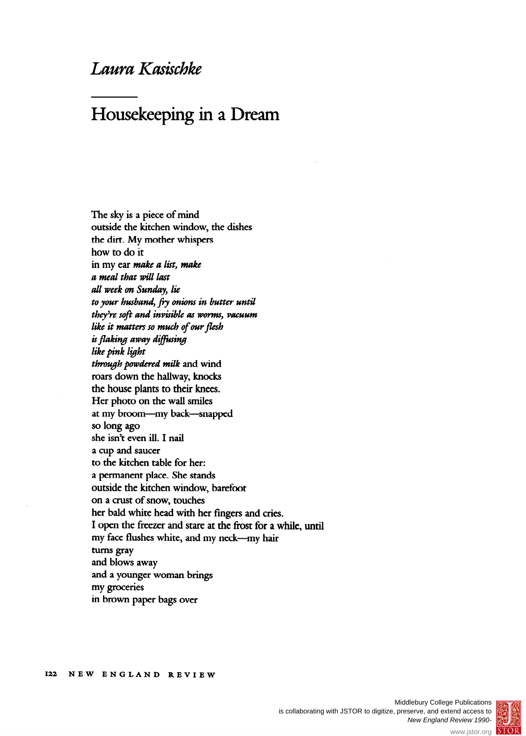## **Laura Kasischke**

## **Housekeeping in a Dream**

**The sky is a piece of mind outside the kitchen window, the dishes the dirt. My mother whispers how to do it in my ear make a list, make a meal that will last all week on Sunday, lie to your husband, fry onions in butter until they're soft and invisible as worms, vacuum like it matters so much of our flesh is flaking away diffusing like pink light through powdered milk and wind roars down the hallway, knocks the house plants to their knees. Her photo on the wall smiles**  at my broom---my back--snapped **so long ago she isn't even ill. I nail a cup and saucer to the kitchen table for her: a permanent place. She stands outside the kitchen window, barefoot on a crust of snow, touches her bald white head with her fingers and cries. I open the freezer and stare at the frost for a while, until**  my face flushes white, and my neck-my hair **turns gray and blows away and a younger woman brings my groceries in brown paper bags over** 



www.jstor.org